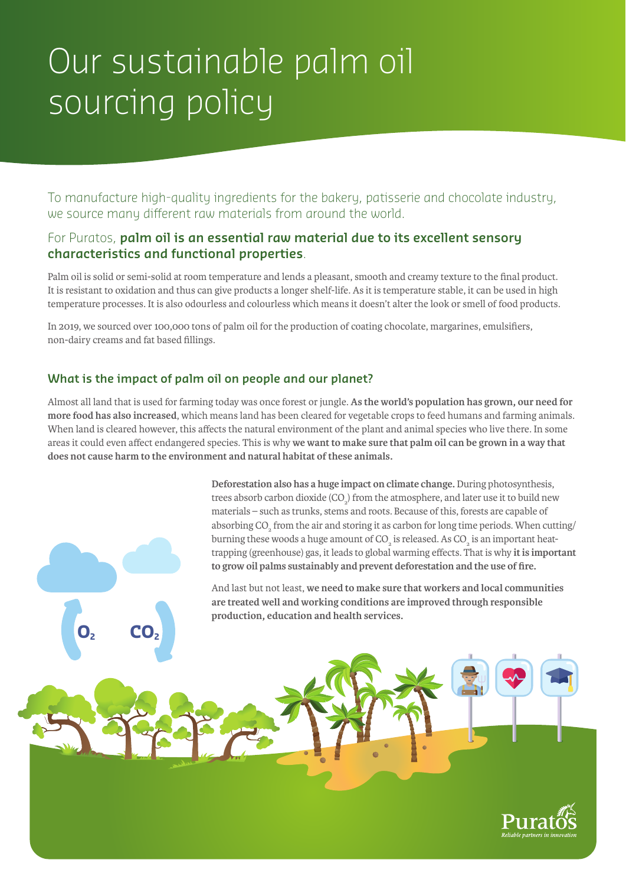# Our sustainable palm oil sourcing policy

To manufacture high-quality ingredients for the bakery, patisserie and chocolate industry, we source many different raw materials from around the world.

# For Puratos, **palm oil is an essential raw material due to its excellent sensory characteristics and functional properties**.

Palm oil is solid or semi-solid at room temperature and lends a pleasant, smooth and creamy texture to the final product. It is resistant to oxidation and thus can give products a longer shelf-life. As it is temperature stable, it can be used in high temperature processes. It is also odourless and colourless which means it doesn't alter the look or smell of food products.

In 2019, we sourced over 100,000 tons of palm oil for the production of coating chocolate, margarines, emulsifiers, non-dairy creams and fat based fillings.

### **What is the impact of palm oil on people and our planet?**

**O<sub>2</sub> CO**<sub>2</sub>

Almost all land that is used for farming today was once forest or jungle. **As the world's population has grown, our need for more food has also increased**, which means land has been cleared for vegetable crops to feed humans and farming animals. When land is cleared however, this affects the natural environment of the plant and animal species who live there. In some areas it could even affect endangered species. This is why **we want to make sure that palm oil can be grown in a way that does not cause harm to the environment and natural habitat of these animals.** 

> **Deforestation also has a huge impact on climate change.** During photosynthesis, trees absorb carbon dioxide (CO<sub>2</sub>) from the atmosphere, and later use it to build new materials – such as trunks, stems and roots. Because of this, forests are capable of absorbing  $\mathrm{CO}_2^{}$  from the air and storing it as carbon for long time periods. When cutting/ burning these woods a huge amount of CO<sub>2</sub> is released. As CO<sub>2</sub> is an important heattrapping (greenhouse) gas, it leads to global warming effects. That is why **it is important to grow oil palms sustainably and prevent deforestation and the use of fire.**

And last but not least, **we need to make sure that workers and local communities are treated well and working conditions are improved through responsible production, education and health services.**